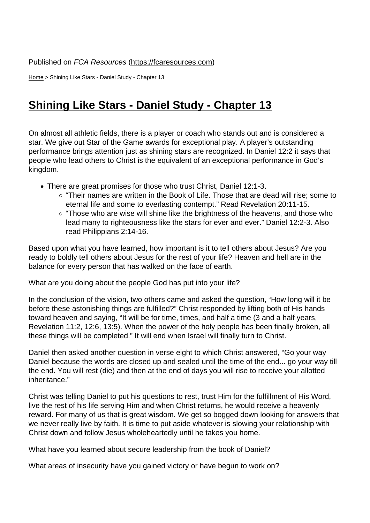Home > Shining Like Stars - Daniel Study - Chapter 13

## [Shi](https://fcaresources.com/)ning Like Stars - Daniel Study - Chapter 13

[On almost all athletic fields, there is a player or coach who stands out and](https://fcaresources.com/bible-study/shining-stars-daniel-study-chapter-13) is considered a star. We give out Star of the Game awards for exceptional play. A player's outstanding performance brings attention just as shining stars are recognized. In Daniel 12:2 it says that people who lead others to Christ is the equivalent of an exceptional performance in God's kingdom.

- There are great promises for those who trust Christ, Daniel 12:1-3.
	- $\circ$  "Their names are written in the Book of Life. Those that are dead will rise; some to eternal life and some to everlasting contempt." Read Revelation 20:11-15.
	- $\circ$  "Those who are wise will shine like the brightness of the heavens, and those who lead many to righteousness like the stars for ever and ever." Daniel 12:2-3. Also read Philippians 2:14-16.

Based upon what you have learned, how important is it to tell others about Jesus? Are you ready to boldly tell others about Jesus for the rest of your life? Heaven and hell are in the balance for every person that has walked on the face of earth.

What are you doing about the people God has put into your life?

In the conclusion of the vision, two others came and asked the question, "How long will it be before these astonishing things are fulfilled?" Christ responded by lifting both of His hands toward heaven and saying, "It will be for time, times, and half a time (3 and a half years, Revelation 11:2, 12:6, 13:5). When the power of the holy people has been finally broken, all these things will be completed." It will end when Israel will finally turn to Christ.

Daniel then asked another question in verse eight to which Christ answered, "Go your way Daniel because the words are closed up and sealed until the time of the end... go your way till the end. You will rest (die) and then at the end of days you will rise to receive your allotted inheritance."

Christ was telling Daniel to put his questions to rest, trust Him for the fulfillment of His Word, live the rest of his life serving Him and when Christ returns, he would receive a heavenly reward. For many of us that is great wisdom. We get so bogged down looking for answers that we never really live by faith. It is time to put aside whatever is slowing your relationship with Christ down and follow Jesus wholeheartedly until he takes you home.

What have you learned about secure leadership from the book of Daniel?

What areas of insecurity have you gained victory or have begun to work on?